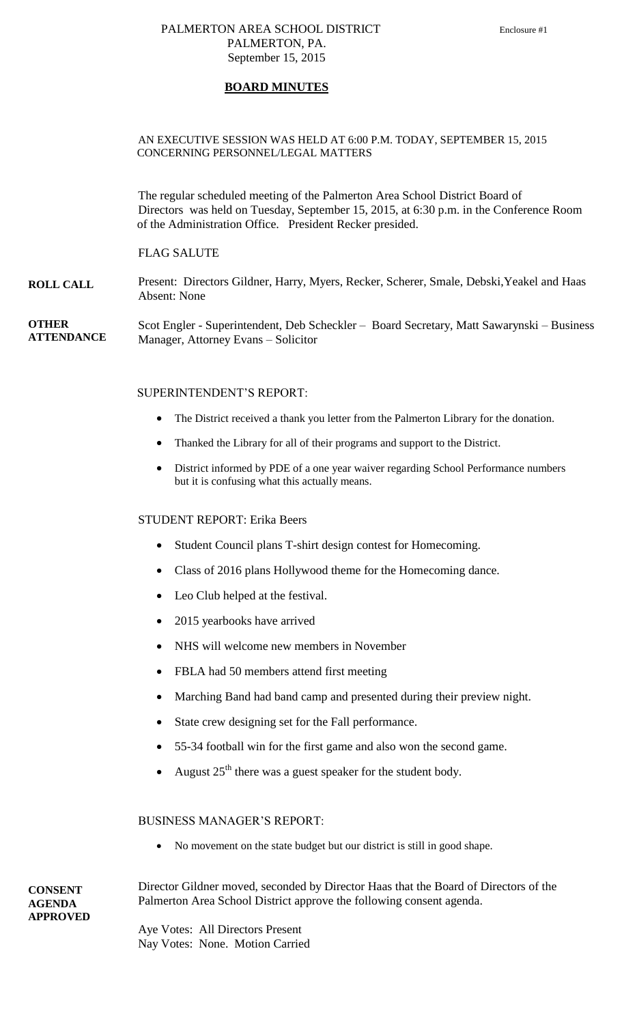#### PALMERTON AREA SCHOOL DISTRICT Enclosure #1 PALMERTON, PA. September 15, 2015

#### **BOARD MINUTES**

#### AN EXECUTIVE SESSION WAS HELD AT 6:00 P.M. TODAY, SEPTEMBER 15, 2015 CONCERNING PERSONNEL/LEGAL MATTERS

The regular scheduled meeting of the Palmerton Area School District Board of Directors was held on Tuesday, September 15, 2015, at 6:30 p.m. in the Conference Room of the Administration Office. President Recker presided.

#### FLAG SALUTE

**ROLL CALL** Present: Directors Gildner, Harry, Myers, Recker, Scherer, Smale, Debski,Yeakel and Haas Absent: None

**OTHER ATTENDANCE** Scot Engler - Superintendent, Deb Scheckler – Board Secretary, Matt Sawarynski – Business Manager, Attorney Evans – Solicitor

#### SUPERINTENDENT'S REPORT:

- The District received a thank you letter from the Palmerton Library for the donation.
- Thanked the Library for all of their programs and support to the District.
- District informed by PDE of a one year waiver regarding School Performance numbers but it is confusing what this actually means.

#### STUDENT REPORT: Erika Beers

- Student Council plans T-shirt design contest for Homecoming.
- Class of 2016 plans Hollywood theme for the Homecoming dance.
- Leo Club helped at the festival.
- 2015 yearbooks have arrived
- NHS will welcome new members in November
- FBLA had 50 members attend first meeting
- Marching Band had band camp and presented during their preview night.
- State crew designing set for the Fall performance.
- 55-34 football win for the first game and also won the second game.
- August  $25<sup>th</sup>$  there was a guest speaker for the student body.

#### BUSINESS MANAGER'S REPORT:

No movement on the state budget but our district is still in good shape.

Director Gildner moved, seconded by Director Haas that the Board of Directors of the Palmerton Area School District approve the following consent agenda.

Aye Votes: All Directors Present Nay Votes: None. Motion Carried

**CONSENT AGENDA APPROVED**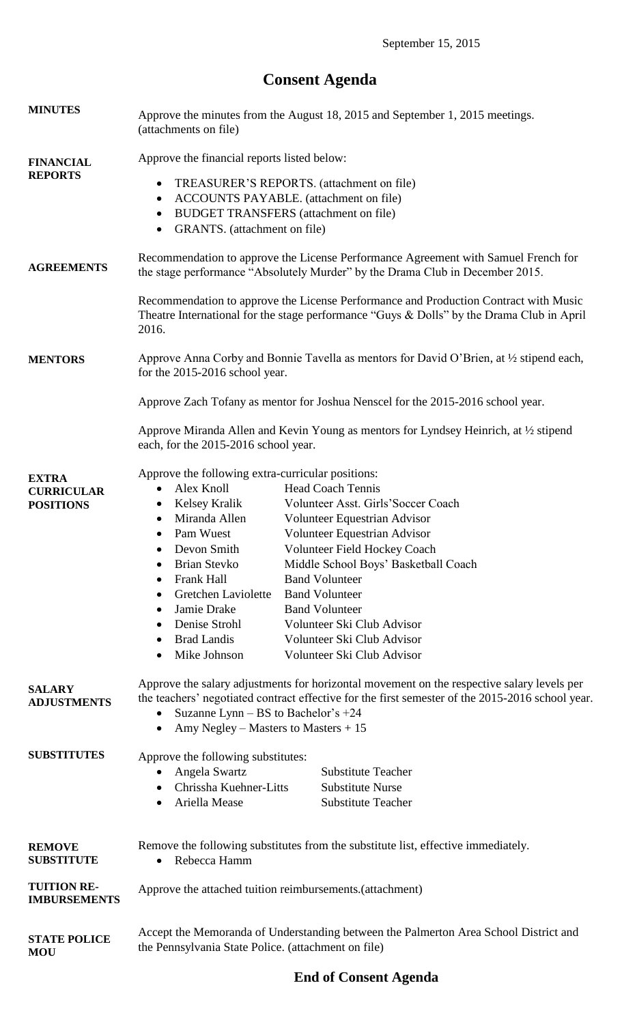# **Consent Agenda**

| <b>MINUTES</b>                                        | Approve the minutes from the August 18, 2015 and September 1, 2015 meetings.<br>(attachments on file)                                                                                                                                                                                                                                                                                                                                                                                                                                                                                                                                                                                                                                                            |
|-------------------------------------------------------|------------------------------------------------------------------------------------------------------------------------------------------------------------------------------------------------------------------------------------------------------------------------------------------------------------------------------------------------------------------------------------------------------------------------------------------------------------------------------------------------------------------------------------------------------------------------------------------------------------------------------------------------------------------------------------------------------------------------------------------------------------------|
| <b>FINANCIAL</b><br><b>REPORTS</b>                    | Approve the financial reports listed below:<br>TREASURER'S REPORTS. (attachment on file)<br>$\bullet$<br>ACCOUNTS PAYABLE. (attachment on file)<br>$\bullet$<br><b>BUDGET TRANSFERS</b> (attachment on file)<br>$\bullet$<br>GRANTS. (attachment on file)<br>$\bullet$                                                                                                                                                                                                                                                                                                                                                                                                                                                                                           |
| <b>AGREEMENTS</b>                                     | Recommendation to approve the License Performance Agreement with Samuel French for<br>the stage performance "Absolutely Murder" by the Drama Club in December 2015.                                                                                                                                                                                                                                                                                                                                                                                                                                                                                                                                                                                              |
|                                                       | Recommendation to approve the License Performance and Production Contract with Music<br>Theatre International for the stage performance "Guys $&$ Dolls" by the Drama Club in April<br>2016.                                                                                                                                                                                                                                                                                                                                                                                                                                                                                                                                                                     |
| <b>MENTORS</b>                                        | Approve Anna Corby and Bonnie Tavella as mentors for David O'Brien, at 1/2 stipend each,<br>for the 2015-2016 school year.                                                                                                                                                                                                                                                                                                                                                                                                                                                                                                                                                                                                                                       |
|                                                       | Approve Zach Tofany as mentor for Joshua Nenscel for the 2015-2016 school year.                                                                                                                                                                                                                                                                                                                                                                                                                                                                                                                                                                                                                                                                                  |
|                                                       | Approve Miranda Allen and Kevin Young as mentors for Lyndsey Heinrich, at 1/2 stipend<br>each, for the 2015-2016 school year.                                                                                                                                                                                                                                                                                                                                                                                                                                                                                                                                                                                                                                    |
| <b>EXTRA</b><br><b>CURRICULAR</b><br><b>POSITIONS</b> | Approve the following extra-curricular positions:<br>Alex Knoll<br><b>Head Coach Tennis</b><br>$\bullet$<br>Volunteer Asst. Girls'Soccer Coach<br>Kelsey Kralik<br>$\bullet$<br>Miranda Allen<br>Volunteer Equestrian Advisor<br>$\bullet$<br>Pam Wuest<br>Volunteer Equestrian Advisor<br>٠<br>Devon Smith<br>Volunteer Field Hockey Coach<br><b>Brian Stevko</b><br>Middle School Boys' Basketball Coach<br>$\bullet$<br>Frank Hall<br><b>Band Volunteer</b><br>Gretchen Laviolette<br><b>Band Volunteer</b><br>$\bullet$<br>Jamie Drake<br><b>Band Volunteer</b><br>$\bullet$<br>Denise Strohl<br>Volunteer Ski Club Advisor<br>$\bullet$<br><b>Brad Landis</b><br>Volunteer Ski Club Advisor<br>$\bullet$<br>Mike Johnson<br>Volunteer Ski Club Advisor<br>٠ |
| <b>SALARY</b><br><b>ADJUSTMENTS</b>                   | Approve the salary adjustments for horizontal movement on the respective salary levels per<br>the teachers' negotiated contract effective for the first semester of the 2015-2016 school year.<br>Suzanne Lynn - BS to Bachelor's +24<br>Amy Negley – Masters to Masters $+15$<br>$\bullet$                                                                                                                                                                                                                                                                                                                                                                                                                                                                      |
| <b>SUBSTITUTES</b>                                    | Approve the following substitutes:<br>Angela Swartz<br><b>Substitute Teacher</b><br>$\bullet$<br>Chrissha Kuehner-Litts<br><b>Substitute Nurse</b><br>Ariella Mease<br><b>Substitute Teacher</b><br>$\bullet$                                                                                                                                                                                                                                                                                                                                                                                                                                                                                                                                                    |
| <b>REMOVE</b><br><b>SUBSTITUTE</b>                    | Remove the following substitutes from the substitute list, effective immediately.<br>Rebecca Hamm<br>$\bullet$                                                                                                                                                                                                                                                                                                                                                                                                                                                                                                                                                                                                                                                   |
| <b>TUITION RE-</b><br><b>IMBURSEMENTS</b>             | Approve the attached tuition reimbursements. (attachment)                                                                                                                                                                                                                                                                                                                                                                                                                                                                                                                                                                                                                                                                                                        |
| <b>STATE POLICE</b><br><b>MOU</b>                     | Accept the Memoranda of Understanding between the Palmerton Area School District and<br>the Pennsylvania State Police. (attachment on file)                                                                                                                                                                                                                                                                                                                                                                                                                                                                                                                                                                                                                      |

## **End of Consent Agenda**